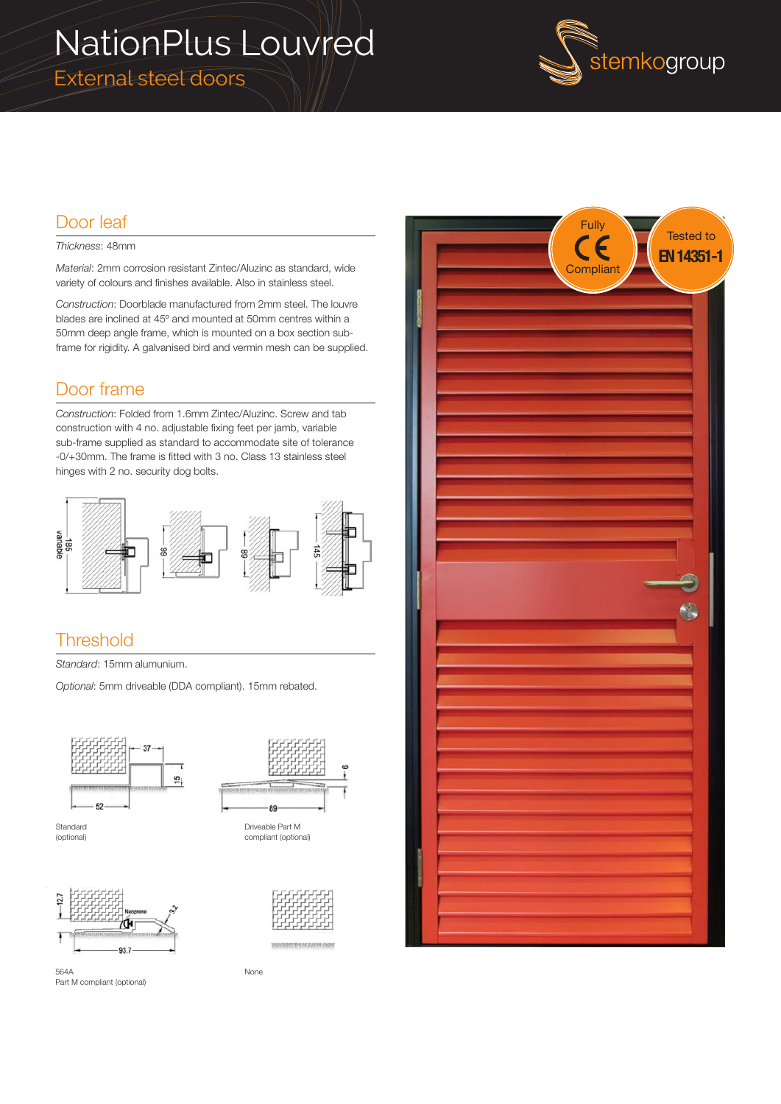# NationPlus Louvred

External steel doors



### Door leaf

#### *Thickness*: 48mm

*Material*: 2mm corrosion resistant Zintec/Aluzinc as standard, wide variety of colours and finishes available. Also in stainless steel.

*Construction*: Doorblade manufactured from 2mm steel. The louvre blades are inclined at 45º and mounted at 50mm centres within a 50mm deep angle frame, which is mounted on a box section subframe for rigidity. A galvanised bird and vermin mesh can be supplied.

### Door frame

*Construction*: Folded from 1.6mm Zintec/Aluzinc. Screw and tab construction with 4 no. adjustable fixing feet per jamb, variable sub-frame supplied as standard to accommodate site of tolerance -0/+30mm. The frame is fitted with 3 no. Class 13 stainless steel hinges with 2 no. security dog bolts.



#### **Threshold**

*Standard*: 15mm alumunium.

*Optional*: 5mm driveable (DDA compliant). 15mm rebated.







Part M compliant (optional)

564A



None